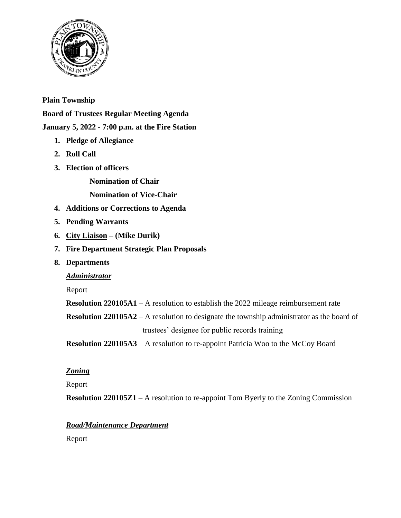

### **Plain Township**

**Board of Trustees Regular Meeting Agenda January 5, 2022 - 7:00 p.m. at the Fire Station**

- **1. Pledge of Allegiance**
- **2. Roll Call**
- **3. Election of officers**

**Nomination of Chair Nomination of Vice-Chair** 

- **4. Additions or Corrections to Agenda**
- **5. Pending Warrants**
- **6. City Liaison – (Mike Durik)**
- **7. Fire Department Strategic Plan Proposals**
- **8. Departments**

### *Administrator*

Report

**Resolution 220105A1** – A resolution to establish the 2022 mileage reimbursement rate

**Resolution 220105A2** – A resolution to designate the township administrator as the board of trustees' designee for public records training

**Resolution 220105A3** – A resolution to re-appoint Patricia Woo to the McCoy Board

# *Zoning*

### Report

**Resolution 220105Z1** – A resolution to re-appoint Tom Byerly to the Zoning Commission

### *Road/Maintenance Department*

Report